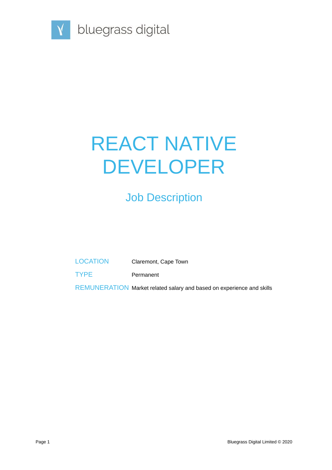

# REACT NATIVE DEVELOPER

## Job Description

LOCATION Claremont, Cape Town

TYPE Permanent

REMUNERATION Market related salary and based on experience and skills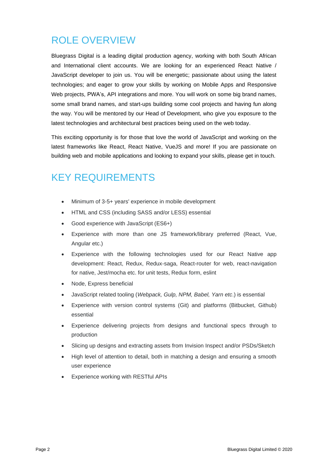### ROLE OVERVIEW

Bluegrass Digital is a leading digital production agency, working with both South African and International client accounts. We are looking for an experienced React Native / JavaScript developer to join us. You will be energetic; passionate about using the latest technologies; and eager to grow your skills by working on Mobile Apps and Responsive Web projects, PWA's, API integrations and more. You will work on some big brand names, some small brand names, and start-ups building some cool projects and having fun along the way. You will be mentored by our Head of Development, who give you exposure to the latest technologies and architectural best practices being used on the web today.

This exciting opportunity is for those that love the world of JavaScript and working on the latest frameworks like React, React Native, VueJS and more! If you are passionate on building web and mobile applications and looking to expand your skills, please get in touch.

#### KEY REQUIREMENTS

- Minimum of 3-5+ years' experience in mobile development
- HTML and CSS (including SASS and/or LESS) essential
- Good experience with JavaScript (ES6+)
- Experience with more than one JS framework/library preferred (React, Vue, Angular etc.)
- Experience with the following technologies used for our React Native app development: React, Redux, Redux-saga, React-router for web, react-navigation for native, Jest/mocha etc. for unit tests, Redux form, eslint
- Node, Express beneficial
- JavaScript related tooling (*Webpack, Gulp, NPM, Babel, Yarn etc*.) is essential
- Experience with version control systems (Git) and platforms (Bitbucket, Github) essential
- Experience delivering projects from designs and functional specs through to production
- Slicing up designs and extracting assets from Invision Inspect and/or PSDs/Sketch
- High level of attention to detail, both in matching a design and ensuring a smooth user experience
- Experience working with RESTful APIs